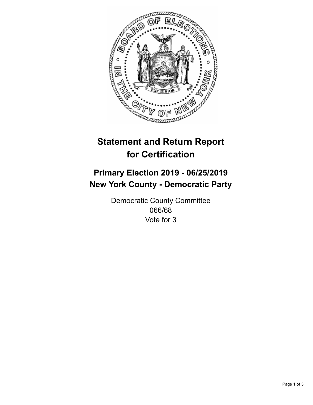

## **Statement and Return Report for Certification**

## **Primary Election 2019 - 06/25/2019 New York County - Democratic Party**

Democratic County Committee 066/68 Vote for 3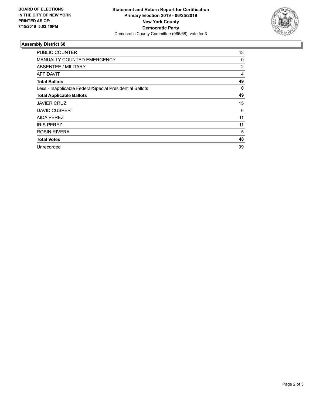

## **Assembly District 68**

| PUBLIC COUNTER                                           | 43 |
|----------------------------------------------------------|----|
| <b>MANUALLY COUNTED EMERGENCY</b>                        | 0  |
| ABSENTEE / MILITARY                                      | 2  |
| <b>AFFIDAVIT</b>                                         | 4  |
| <b>Total Ballots</b>                                     | 49 |
| Less - Inapplicable Federal/Special Presidential Ballots | 0  |
| <b>Total Applicable Ballots</b>                          | 49 |
| <b>JAVIER CRUZ</b>                                       | 15 |
| <b>DAVID CUSPERT</b>                                     | 6  |
| <b>AIDA PEREZ</b>                                        | 11 |
| <b>IRIS PEREZ</b>                                        | 11 |
| <b>ROBIN RIVERA</b>                                      | 5  |
| <b>Total Votes</b>                                       | 48 |
| Unrecorded                                               | 99 |